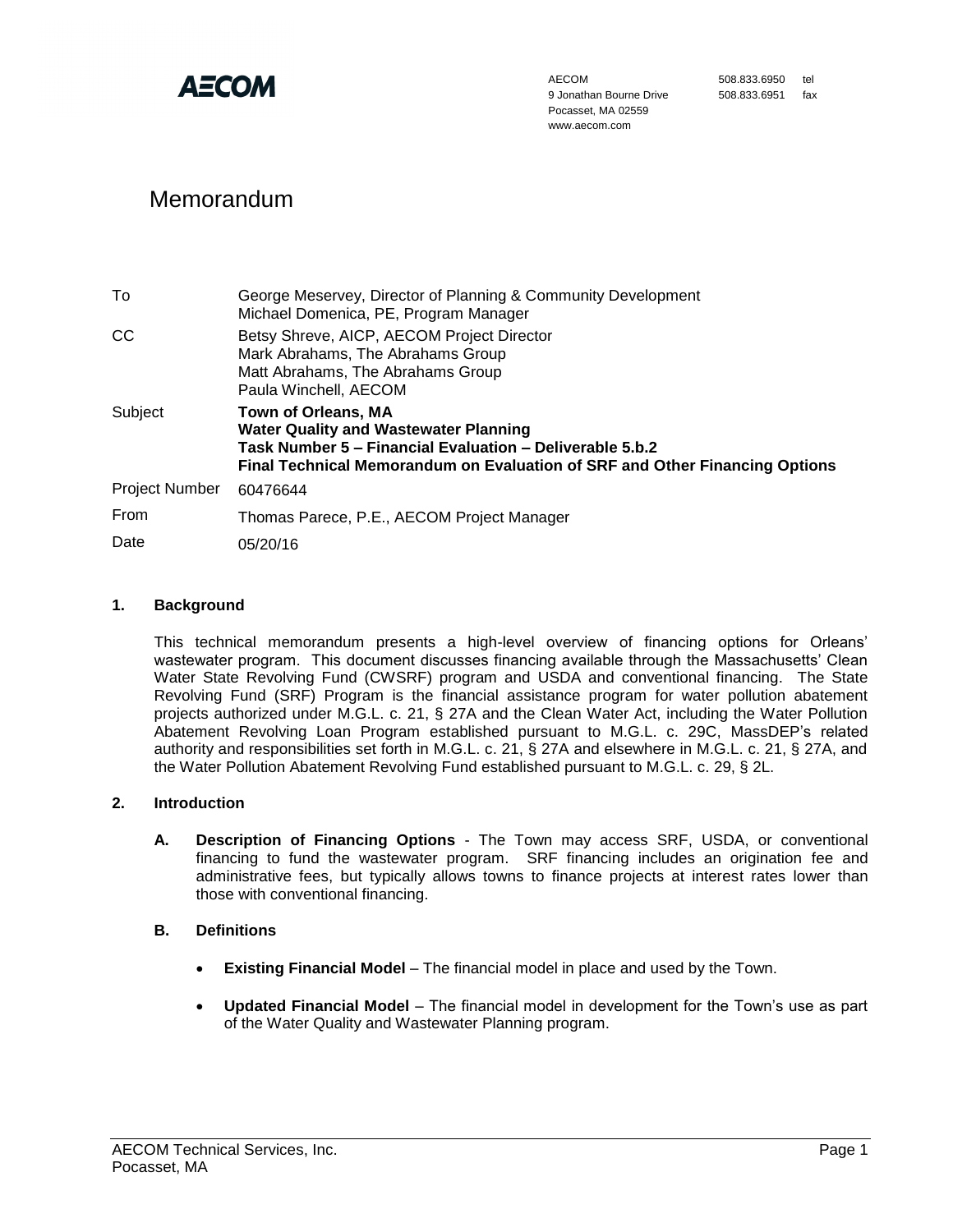

AECOM 9 Jonathan Bourne Drive Pocasset, MA 02559 www.aecom.com

508.833.6950 tel 508.833.6951 fax

# Memorandum

| To                    | George Meservey, Director of Planning & Community Development<br>Michael Domenica, PE, Program Manager                                                                                                                |
|-----------------------|-----------------------------------------------------------------------------------------------------------------------------------------------------------------------------------------------------------------------|
| CC                    | Betsy Shreve, AICP, AECOM Project Director<br>Mark Abrahams, The Abrahams Group<br>Matt Abrahams, The Abrahams Group<br>Paula Winchell, AECOM                                                                         |
| Subject               | <b>Town of Orleans, MA</b><br><b>Water Quality and Wastewater Planning</b><br>Task Number 5 – Financial Evaluation – Deliverable 5.b.2<br>Final Technical Memorandum on Evaluation of SRF and Other Financing Options |
| <b>Project Number</b> | 60476644                                                                                                                                                                                                              |
| From                  | Thomas Parece, P.E., AECOM Project Manager                                                                                                                                                                            |
| Date                  | 05/20/16                                                                                                                                                                                                              |

#### **1. Background**

This technical memorandum presents a high-level overview of financing options for Orleans' wastewater program. This document discusses financing available through the Massachusetts' Clean Water State Revolving Fund (CWSRF) program and USDA and conventional financing. The State Revolving Fund (SRF) Program is the financial assistance program for water pollution abatement projects authorized under M.G.L. c. 21, § 27A and the Clean Water Act, including the Water Pollution Abatement Revolving Loan Program established pursuant to M.G.L. c. 29C, MassDEP's related authority and responsibilities set forth in M.G.L. c. 21, § 27A and elsewhere in M.G.L. c. 21, § 27A, and the Water Pollution Abatement Revolving Fund established pursuant to M.G.L. c. 29, § 2L.

### **2. Introduction**

**A. Description of Financing Options** - The Town may access SRF, USDA, or conventional financing to fund the wastewater program. SRF financing includes an origination fee and administrative fees, but typically allows towns to finance projects at interest rates lower than those with conventional financing.

#### **B. Definitions**

- **Existing Financial Model** The financial model in place and used by the Town.
- **Updated Financial Model** The financial model in development for the Town's use as part of the Water Quality and Wastewater Planning program.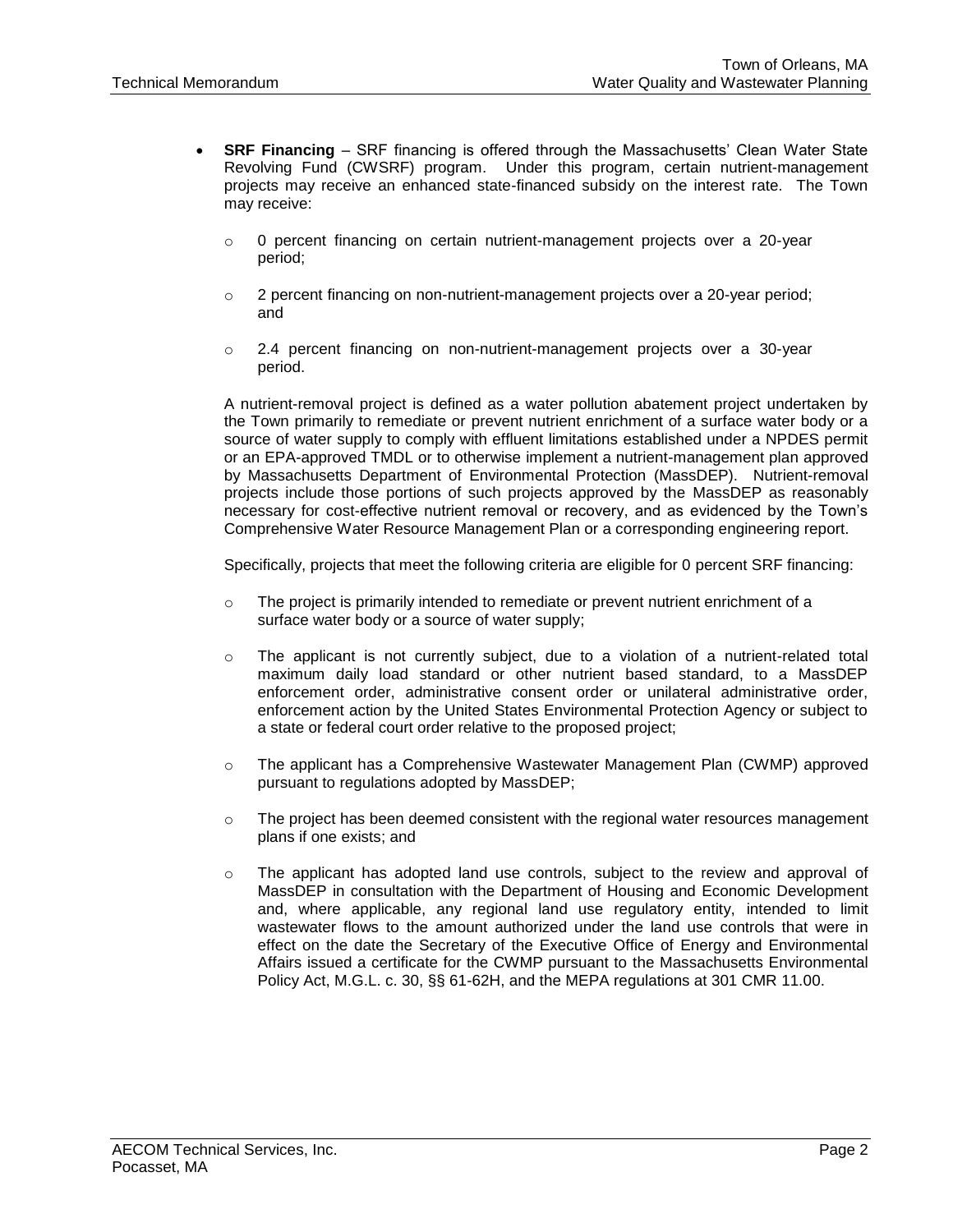- **SRF Financing** SRF financing is offered through the Massachusetts' Clean Water State Revolving Fund (CWSRF) program. Under this program, certain nutrient-management projects may receive an enhanced state-financed subsidy on the interest rate. The Town may receive:
	- $\circ$  0 percent financing on certain nutrient-management projects over a 20-year period;
	- $\circ$  2 percent financing on non-nutrient-management projects over a 20-year period; and
	- o 2.4 percent financing on non-nutrient-management projects over a 30-year period.

A nutrient-removal project is defined as a water pollution abatement project undertaken by the Town primarily to remediate or prevent nutrient enrichment of a surface water body or a source of water supply to comply with effluent limitations established under a NPDES permit or an EPA-approved TMDL or to otherwise implement a nutrient-management plan approved by Massachusetts Department of Environmental Protection (MassDEP). Nutrient-removal projects include those portions of such projects approved by the MassDEP as reasonably necessary for cost-effective nutrient removal or recovery, and as evidenced by the Town's Comprehensive Water Resource Management Plan or a corresponding engineering report.

Specifically, projects that meet the following criteria are eligible for 0 percent SRF financing:

- $\circ$  The project is primarily intended to remediate or prevent nutrient enrichment of a surface water body or a source of water supply;
- $\circ$  The applicant is not currently subject, due to a violation of a nutrient-related total maximum daily load standard or other nutrient based standard, to a MassDEP enforcement order, administrative consent order or unilateral administrative order, enforcement action by the United States Environmental Protection Agency or subject to a state or federal court order relative to the proposed project;
- $\circ$  The applicant has a Comprehensive Wastewater Management Plan (CWMP) approved pursuant to regulations adopted by MassDEP;
- o The project has been deemed consistent with the regional water resources management plans if one exists; and
- o The applicant has adopted land use controls, subject to the review and approval of MassDEP in consultation with the Department of Housing and Economic Development and, where applicable, any regional land use regulatory entity, intended to limit wastewater flows to the amount authorized under the land use controls that were in effect on the date the Secretary of the Executive Office of Energy and Environmental Affairs issued a certificate for the CWMP pursuant to the Massachusetts Environmental Policy Act, M.G.L. c. 30, §§ 61-62H, and the MEPA regulations at 301 CMR 11.00.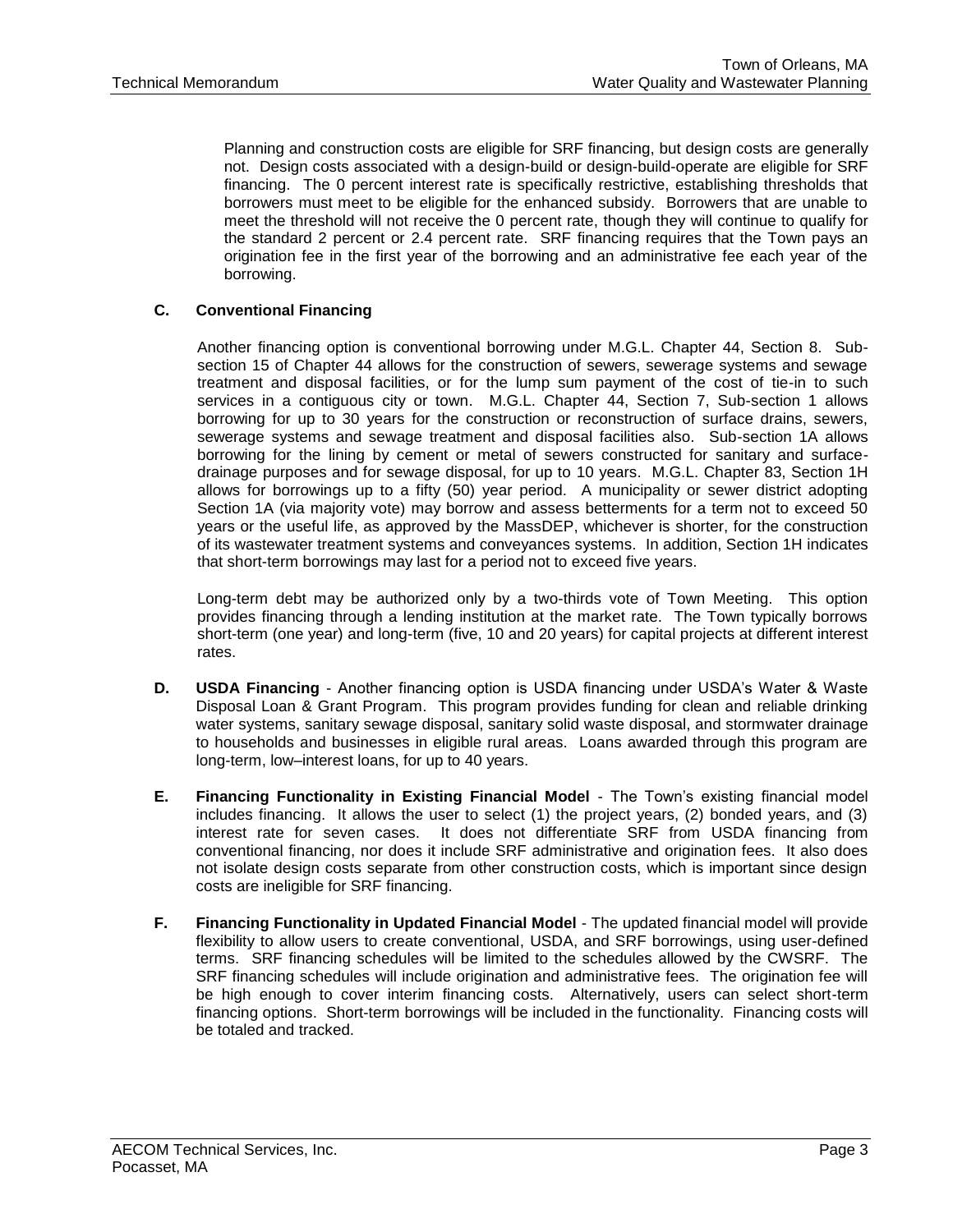Planning and construction costs are eligible for SRF financing, but design costs are generally not. Design costs associated with a design-build or design-build-operate are eligible for SRF financing. The 0 percent interest rate is specifically restrictive, establishing thresholds that borrowers must meet to be eligible for the enhanced subsidy. Borrowers that are unable to meet the threshold will not receive the 0 percent rate, though they will continue to qualify for the standard 2 percent or 2.4 percent rate. SRF financing requires that the Town pays an origination fee in the first year of the borrowing and an administrative fee each year of the borrowing.

## **C. Conventional Financing**

Another financing option is conventional borrowing under M.G.L. Chapter 44, Section 8. Subsection 15 of Chapter 44 allows for the construction of sewers, sewerage systems and sewage treatment and disposal facilities, or for the lump sum payment of the cost of tie-in to such services in a contiguous city or town. M.G.L. Chapter 44, Section 7, Sub-section 1 allows borrowing for up to 30 years for the construction or reconstruction of surface drains, sewers, sewerage systems and sewage treatment and disposal facilities also. Sub-section 1A allows borrowing for the lining by cement or metal of sewers constructed for sanitary and surfacedrainage purposes and for sewage disposal, for up to 10 years. M.G.L. Chapter 83, Section 1H allows for borrowings up to a fifty (50) year period. A municipality or sewer district adopting Section 1A (via majority vote) may borrow and assess betterments for a term not to exceed 50 years or the useful life, as approved by the MassDEP, whichever is shorter, for the construction of its wastewater treatment systems and conveyances systems. In addition, Section 1H indicates that short-term borrowings may last for a period not to exceed five years.

Long-term debt may be authorized only by a two-thirds vote of Town Meeting. This option provides financing through a lending institution at the market rate. The Town typically borrows short-term (one year) and long-term (five, 10 and 20 years) for capital projects at different interest rates.

- **D. USDA Financing** Another financing option is USDA financing under USDA's Water & Waste Disposal Loan & Grant Program. This program provides funding for clean and reliable drinking water systems, sanitary sewage disposal, sanitary solid waste disposal, and stormwater drainage to households and businesses in eligible rural areas. Loans awarded through this program are long-term, low–interest loans, for up to 40 years.
- **E. Financing Functionality in Existing Financial Model** The Town's existing financial model includes financing. It allows the user to select (1) the project years, (2) bonded years, and (3) interest rate for seven cases. It does not differentiate SRF from USDA financing from conventional financing, nor does it include SRF administrative and origination fees. It also does not isolate design costs separate from other construction costs, which is important since design costs are ineligible for SRF financing.
- **F. Financing Functionality in Updated Financial Model** The updated financial model will provide flexibility to allow users to create conventional, USDA, and SRF borrowings, using user-defined terms. SRF financing schedules will be limited to the schedules allowed by the CWSRF. The SRF financing schedules will include origination and administrative fees. The origination fee will be high enough to cover interim financing costs. Alternatively, users can select short-term financing options. Short-term borrowings will be included in the functionality. Financing costs will be totaled and tracked.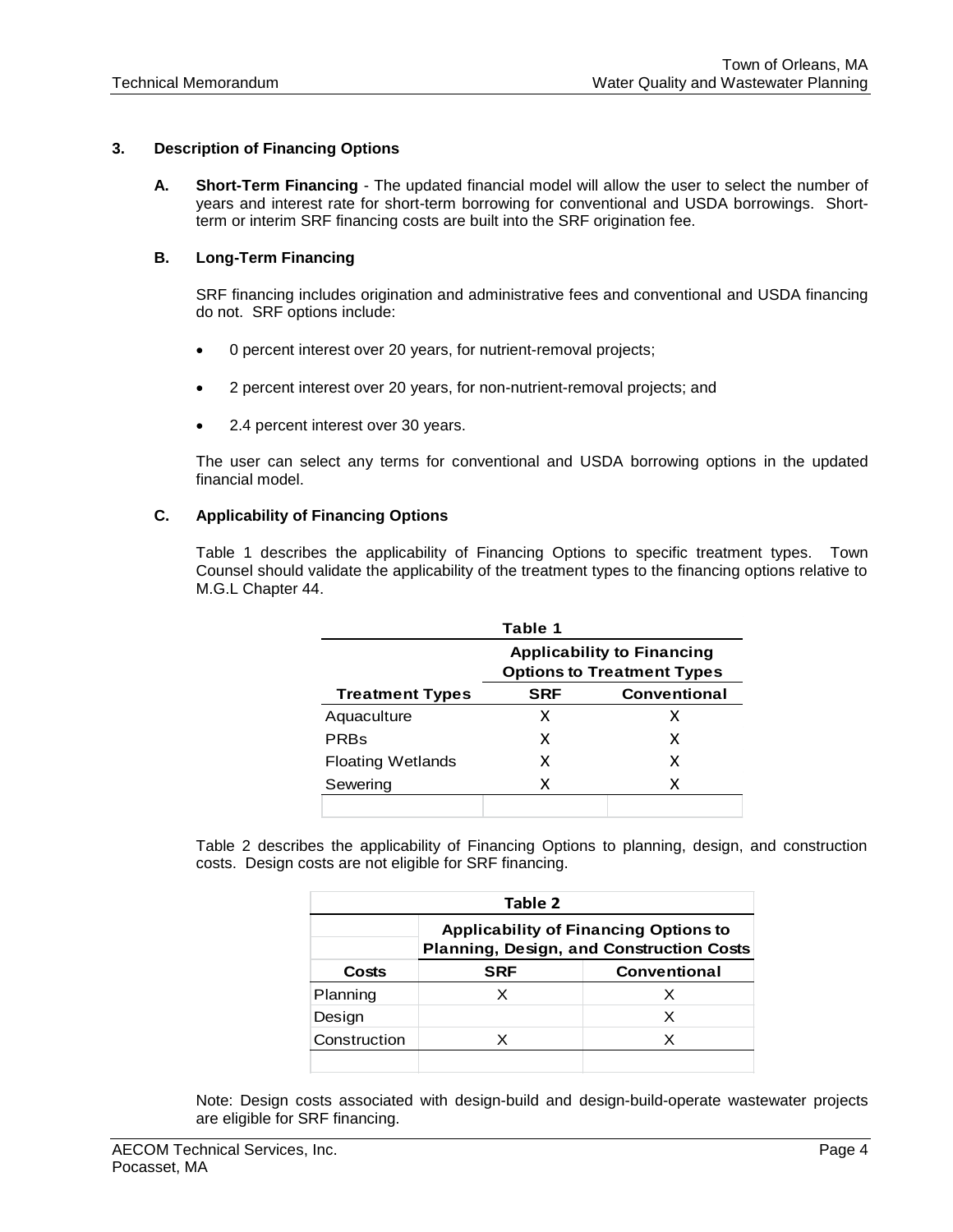#### **3. Description of Financing Options**

**A. Short-Term Financing** - The updated financial model will allow the user to select the number of years and interest rate for short-term borrowing for conventional and USDA borrowings. Shortterm or interim SRF financing costs are built into the SRF origination fee.

#### **B. Long-Term Financing**

SRF financing includes origination and administrative fees and conventional and USDA financing do not. SRF options include:

- 0 percent interest over 20 years, for nutrient-removal projects;
- 2 percent interest over 20 years, for non-nutrient-removal projects; and
- 2.4 percent interest over 30 years.

The user can select any terms for conventional and USDA borrowing options in the updated financial model.

#### **C. Applicability of Financing Options**

Table 1 describes the applicability of Financing Options to specific treatment types. Town Counsel should validate the applicability of the treatment types to the financing options relative to M.G.L Chapter 44.

| Table 1                  |                                                                        |                     |  |  |
|--------------------------|------------------------------------------------------------------------|---------------------|--|--|
|                          | <b>Applicability to Financing</b><br><b>Options to Treatment Types</b> |                     |  |  |
| <b>Treatment Types</b>   | <b>SRF</b>                                                             | <b>Conventional</b> |  |  |
| Aquaculture              | x                                                                      | x                   |  |  |
| <b>PRBs</b>              | x                                                                      | x                   |  |  |
| <b>Floating Wetlands</b> | x                                                                      | x                   |  |  |
| Sewering                 | x                                                                      | X                   |  |  |
|                          |                                                                        |                     |  |  |

Table 2 describes the applicability of Financing Options to planning, design, and construction costs. Design costs are not eligible for SRF financing.

| Table 2      |                                                                                                 |              |  |  |  |
|--------------|-------------------------------------------------------------------------------------------------|--------------|--|--|--|
|              | <b>Applicability of Financing Options to</b><br><b>Planning, Design, and Construction Costs</b> |              |  |  |  |
| Costs        | SRF                                                                                             | Conventional |  |  |  |
| Planning     | x                                                                                               | x            |  |  |  |
| Design       |                                                                                                 | x            |  |  |  |
| Construction | x                                                                                               | x            |  |  |  |
|              |                                                                                                 |              |  |  |  |

Note: Design costs associated with design-build and design-build-operate wastewater projects are eligible for SRF financing.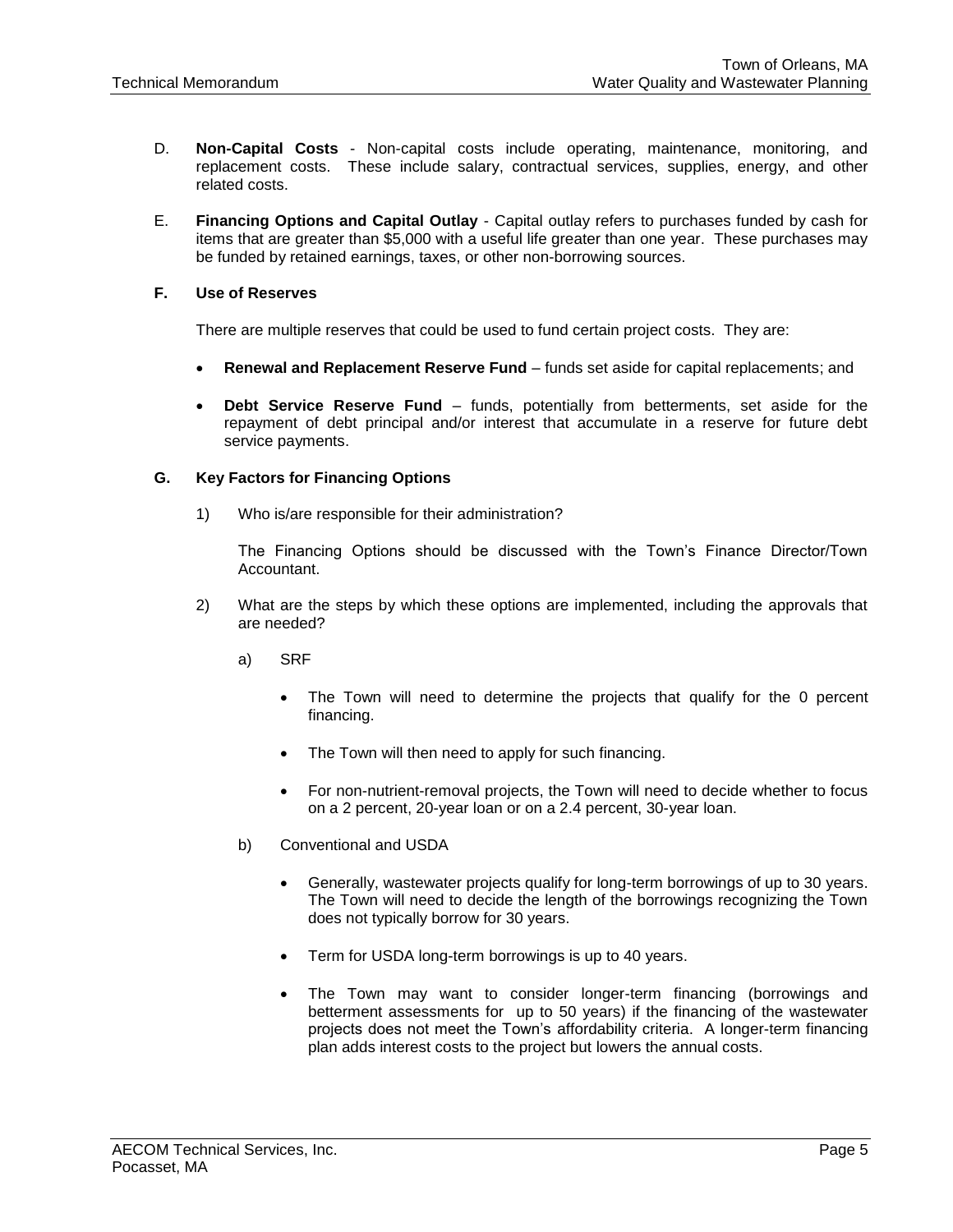- D. **Non-Capital Costs** Non-capital costs include operating, maintenance, monitoring, and replacement costs. These include salary, contractual services, supplies, energy, and other related costs.
- E. **Financing Options and Capital Outlay** Capital outlay refers to purchases funded by cash for items that are greater than \$5,000 with a useful life greater than one year. These purchases may be funded by retained earnings, taxes, or other non-borrowing sources.

## **F. Use of Reserves**

There are multiple reserves that could be used to fund certain project costs. They are:

- **Renewal and Replacement Reserve Fund** funds set aside for capital replacements; and
- **•** Debt Service Reserve Fund funds, potentially from betterments, set aside for the repayment of debt principal and/or interest that accumulate in a reserve for future debt service payments.

### **G. Key Factors for Financing Options**

1) Who is/are responsible for their administration?

The Financing Options should be discussed with the Town's Finance Director/Town Accountant.

- 2) What are the steps by which these options are implemented, including the approvals that are needed?
	- a) SRF
		- The Town will need to determine the projects that qualify for the 0 percent financing.
		- The Town will then need to apply for such financing.
		- For non-nutrient-removal projects, the Town will need to decide whether to focus on a 2 percent, 20-year loan or on a 2.4 percent, 30-year loan.
	- b) Conventional and USDA
		- Generally, wastewater projects qualify for long-term borrowings of up to 30 years. The Town will need to decide the length of the borrowings recognizing the Town does not typically borrow for 30 years.
		- Term for USDA long-term borrowings is up to 40 years.
		- The Town may want to consider longer-term financing (borrowings and betterment assessments for up to 50 years) if the financing of the wastewater projects does not meet the Town's affordability criteria. A longer-term financing plan adds interest costs to the project but lowers the annual costs.